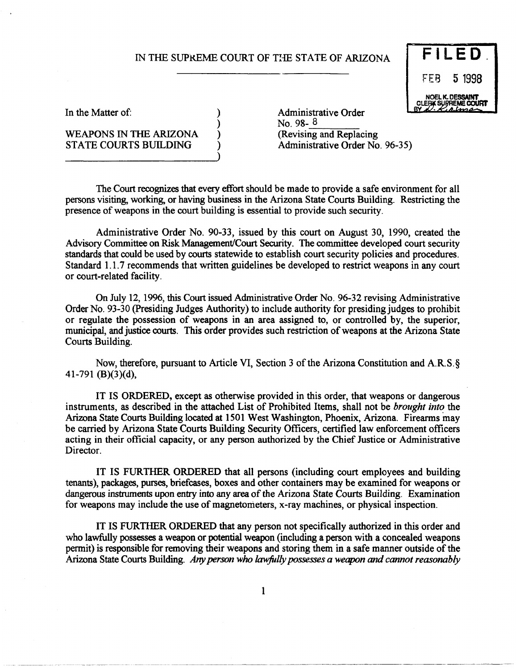# IN THE SUPREME COURT OF THE STATE OF ARIZONA **FILED**

) ) ) ) )



----------~------ ------------------

In the Matter of:

### WEAPONS IN THE ARIZONA STATE COURTS BUILDING

Administrative Order<br>No. 98- $8$ (Revising and Replacing Administrative Order No. 96-35)

The Court recognizes that every effort should be made to provide a safe environment for all persons visiting, working, or having business in the Arizona State Courts Building. Restricting the presence of weapons in the court building is essential to provide such security.

Administrative Order No. 90-33, issued by this court on August 30, 1990, created the Advisory Committee on Risk Management/Court Security. The committee developed court security standards that could be used by courts statewide to establish court security policies and procedures. Standard 1.1.7 recommends that written guidelines be developed to restrict weapons in any court or court-related facility.

On July 12, 1996, this Court issued Administrative Order No. 96-32 revising Administrative Order No. 93-30 (Presiding Judges Authority) to include authority for presiding judges to prohibit or regulate the possession of weapons in an area assigned to, or controlled by, the superior, municipal, and justice courts. This order provides such restriction of weapons at the Arizona State Courts Building.

Now, therefore, pursuant to Article VI, Section 3 of the Arizona Constitution and A.R.S.§ 41-791 (B)(3)(d),

IT IS ORDERED, except as otherwise provided in this order, that weapons or dangerous instruments, as described in the attached List of Prohibited Items, shall not be *brought into* the Arizona State Courts Building located at 1501 West Washington, Phoenix, Arizona. Firearms may be carried by Arizona State Courts Building Security Officers, certified law enforcement officers acting in their official capacity, or any person authorized by the Chief Justice or Administrative Director.

IT IS FURTHER ORDERED that all persons (including court employees and building tenants), packages, purses, briefcases, boxes and other containers may be examined for weapons or dangerous instruments upon entry into any area of the Arizona State Courts Building. Examination for weapons may include the use of magnetometers, x-ray machines, or physical inspection.

IT IS FURTHER ORDERED that any person not specifically authorized in this order and who lawfully possesses a weapon or potential weapon (including a person with a concealed weapons permit) is responsible for removing their weapons and storing them in a safe manner outside of the Arizona State Courts Building. Any person who lawfully possesses a weapon and cannot reasonably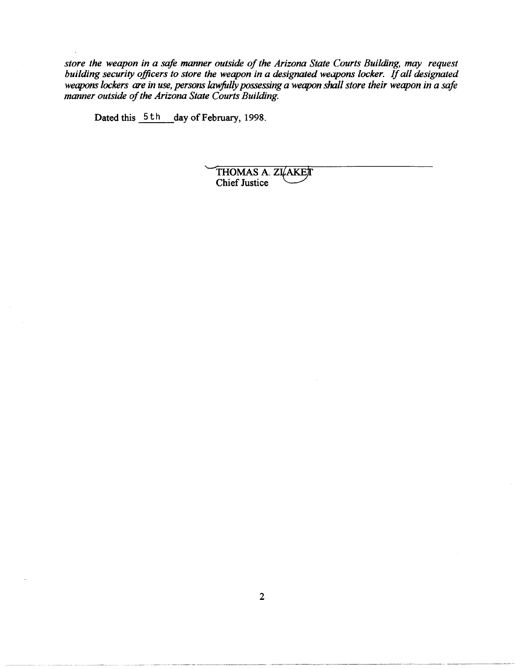*store the weapon in a safe manner outside of the Arizona State Courts Building, may request building security officers to store the weapon in a designated weapons locker.* If *all designated weapons lockers are in use, persons lawfully possessing a weapon shall store their weapon in a safe manner outside of the Arizona State Courts Building.* 

Dated this  $5 th$  day of February, 1998.

THOMAS A. ZI AKET<br>Chief Justice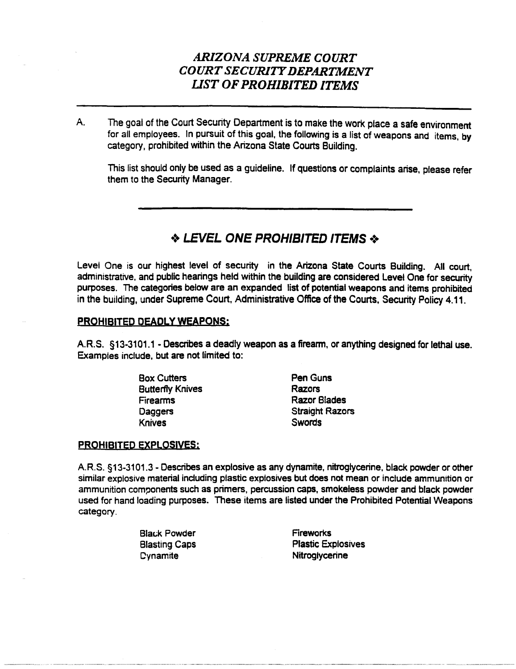# *ARIZONA SUPREME COURT COURT SECURITY DEPARTMENT liST OF PROHIBITED ITEMS*

A. The goal of the Court Security Department is to make the work place a safe environment for all employees. In pursuit of this goal, the following is a list of weapons and items, by category, prohibited within the Arizona State Courts Building.

This list should only be used as a guideline. If questions or complaints arise, please refer them to the Security Manager.

### $\triangle$  LEVEL ONE PROHIBITED ITEMS  $\triangle$

Level One is our highest level of security in the Arizona State Courts Building. All court, administrative, and public hearings held within the building are considered Level One for security purposes. The categories below are an expanded list of potential weapons and items prohibited in the building, under Supreme Court, Administrative Office of the Courts, Security Policy 4.11.

### PROHIBITED DEADLY WEAPONS;

A.R.S. §13-3101.1 - Describes a deadly weapon as a firearm, or anything designed for lethal use. Examples include, but are not limited to:

> Box Cutters Butterfly Knives Firearms **Daggers** Knives

Pen Guns Razors Razor Blades Straight Razors **Swords** 

### PROHIBITED EXPLOSIVES;

A.R.S. §13-3101.3 - Describes an explosive as any dynamite, nitroglycerine, black powder or other similar explosive material including plastic explosives but does not mean or include ammunition or ammunition components such as primers, percussion caps, smokeless powder and black powder used for hand loading purposes. These items are listed under the Prohibited Potential Weapons category.

> **Black Powder** Blasting Caps **Dynamite Fireworks** Plastic Explosives **Nitrogivcerine**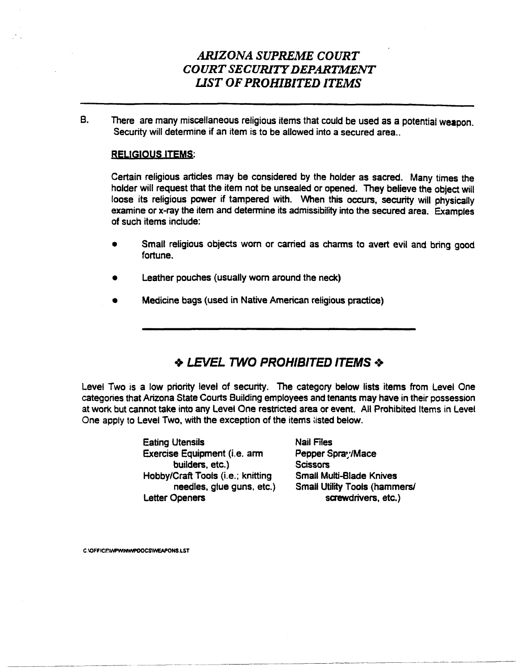# *ARIZONA SUPREME COURT COURT SECURITY DEPARTMENT UST OF PROHIBITED ITEMS*

B. There are many miscellaneous religious items that could be used as a potential weapon. Security will determine if an item is to be allowed into a secured area..

### RELIGIOUS ITEMS:

Certain religious articles may be considered by the holder as sacred. Many times the holder will request that the item not be unsealed or opened. They believe the object will loose its religious power if tampered with. When this occurs, security will physically examine or x-ray the item and determine its admissibility into the secured area. Examples of such items include:

- Small religious objects worn or carried as charms to avert evil and bring good fortune.
- Leather pouches (usually worn around the neck)
- Medicine bags (used in Native American religious practice)

# ◆ LEVEL TWO PROHIBITED ITEMS ◆

Level Two is a low priority level of security. The category below lists items from Level One categories that Arizona State Courts Building employees and tenants may have in their possession at work but cannot take into any Level One restricted area or event. All Prohibited Items in Level One apply to Level Two, with the exception of the items listed below.

> Eating Utensils Exercise Equipment (i.e. arm builders, etc.) Hobby/Craft Tools (i.e.; knitting needles, glue guns, etc.) Letter Openers

Nail Files Pepper Spray/Mace **Scissors** Small Multi-Blade Knives Small Utility Tools (hammers/ screwdrivers, etc.)

C.\OFFICE\WPWIN\WPOOCS\WEAPONS.LST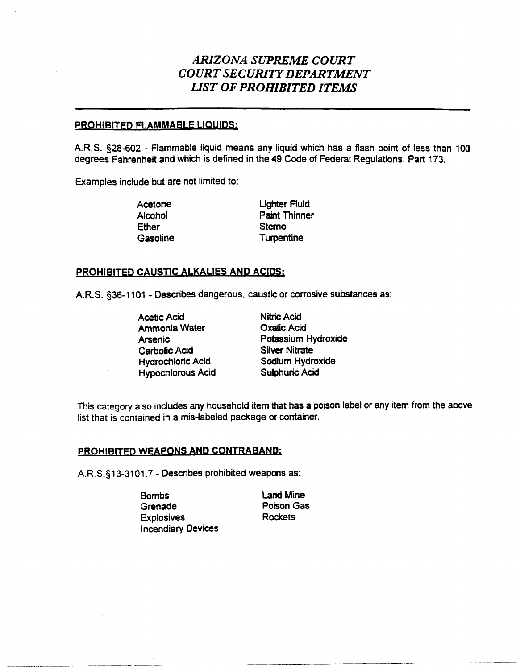# *ARIZONA SUPREME COURT COURTSECURlTYDEPARTMENT UST OF PROHIBITED ITEMS*

### PROHIBITED FLAMMABLE LIQUIDS:

A.R.S. §28-602 - Flammable liquid means any liquid which has a flash point of less than 100 degrees Fahrenheit and which is defined in the 49 Code of Federal Regulations, Part 173.

Examples include but are not limited to:

Acetone Alcohol **Ether Gasoline**  **Lighter Fluid** Paint Thinner **Sterno Turpentine** 

### PROHIBITED CAUSTIC ALKALIES AND ACIDS:

A.R.S. §36-1101 - Describes dangerous, caustic or corrosive substances as:

Acetic Acid Ammonia Water Arsenic Carbolic Acid Hydrochloric Acid Hypochlorous Acid Nitric Acid Oxalic Acid Potassium Hydroxide Silver Nitrate Sodium Hydroxide Sulphuric Acid

This category also includes any household item that has a poison label or any item from the above list that is contained in a mis-labeled package or container.

#### PROHIBITED WEAPONS AND CONTRABAND:

A.R.S.§13-3101.7 - Describes prohibited weapons as:

Bombs Grenade **Explosives Incendiary Devices** 

Land Mine Poison Gas **Rockets** 

.\_-\_.\_--- .